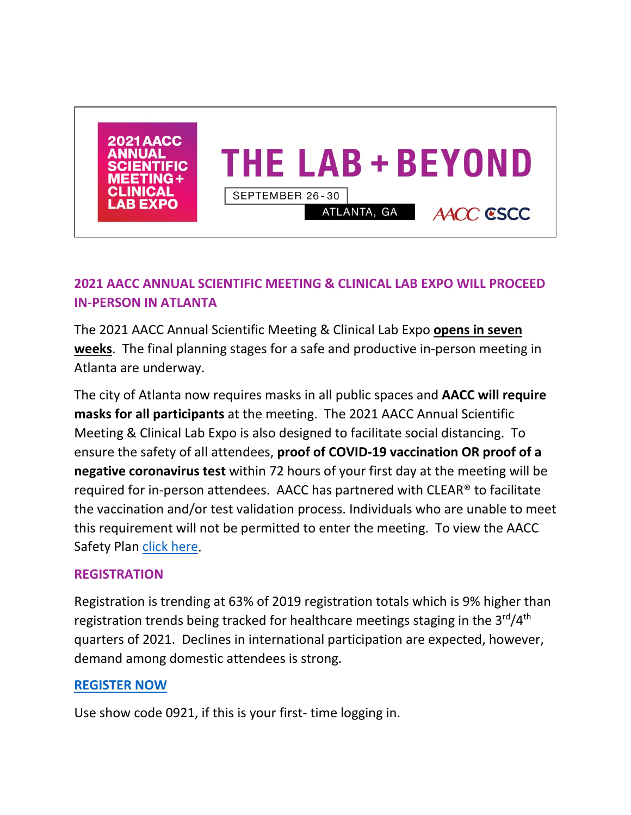

# **2021 AACC ANNUAL SCIENTIFIC MEETING & CLINICAL LAB EXPO WILL PROCEED IN-PERSON IN ATLANTA**

The 2021 AACC Annual Scientific Meeting & Clinical Lab Expo **opens in seven weeks**. The final planning stages for a safe and productive in-person meeting in Atlanta are underway.

The city of Atlanta now requires masks in all public spaces and **AACC will require masks for all participants** at the meeting. The 2021 AACC Annual Scientific Meeting & Clinical Lab Expo is also designed to facilitate social distancing. To ensure the safety of all attendees, **proof of COVID-19 vaccination OR proof of a negative coronavirus test** within 72 hours of your first day at the meeting will be required for in-person attendees. AACC has partnered with CLEAR® to facilitate the vaccination and/or test validation process. Individuals who are unable to meet this requirement will not be permitted to enter the meeting. To view the AACC Safety Plan [click here.](https://meeting.aacc.org/testing/covid19-safety-plan/detailed-covid19-safety-plan)

### **REGISTRATION**

Registration is trending at 63% of 2019 registration totals which is 9% higher than registration trends being tracked for healthcare meetings staging in the 3<sup>rd</sup>/4<sup>th</sup> quarters of 2021. Declines in international participation are expected, however, demand among domestic attendees is strong.

### **[REGISTER NOW](https://www.xpressreg.net/register/imbr0921/start.asp)**

Use show code 0921, if this is your first- time logging in.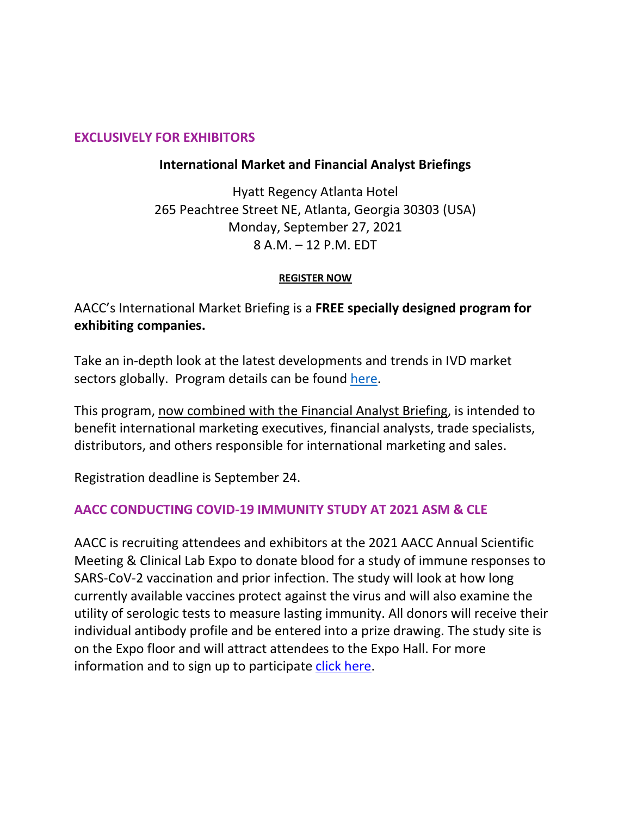#### **EXCLUSIVELY FOR EXHIBITORS**

### **International Market and Financial Analyst Briefings**

Hyatt Regency Atlanta Hotel 265 Peachtree Street NE, Atlanta, Georgia 30303 (USA) Monday, September 27, 2021 8 A.M. – 12 P.M. EDT

#### **[REGISTER NOW](https://www.xpressreg.net/register/imbr0921/attendee/reginfo.asp?sc=&aban=&hkey=&iq=&vip=&tm=)**

AACC's International Market Briefing is a **FREE specially designed program for exhibiting companies.**

Take an in-depth look at the latest developments and trends in IVD market sectors globally. Program details can be found [here.](https://landingpages.aacc.org/en/international-market-briefing-financial-analyst-briefing-2021-event-program)

This program, now combined with the Financial Analyst Briefing, is intended to benefit international marketing executives, financial analysts, trade specialists, distributors, and others responsible for international marketing and sales.

Registration deadline is September 24.

#### **AACC CONDUCTING COVID-19 IMMUNITY STUDY AT 2021 ASM & CLE**

AACC is recruiting attendees and exhibitors at the 2021 AACC Annual Scientific Meeting & Clinical Lab Expo to donate blood for a study of immune responses to SARS-CoV-2 vaccination and prior infection. The study will look at how long currently available vaccines protect against the virus and will also examine the utility of serologic tests to measure lasting immunity. All donors will receive their individual antibody profile and be entered into a prize drawing. The study site is on the Expo floor and will attract attendees to the Expo Hall. For more information and to sign up to participate [click here.](https://nam10.safelinks.protection.outlook.com/?url=https%3A%2F%2Fwww.aacc.org%2Fscience-and-research%2Fcovid-19-resources%2Fcovid19-immunity-study&data=04%7C01%7Csusan.bracken%40spargoinc.com%7C9842d89d311f47718daf08d958d6f3fa%7C69fb19eaf91b4fe297948780da631be6%7C0%7C0%7C637638502527346227%7CUnknown%7CTWFpbGZsb3d8eyJWIjoiMC4wLjAwMDAiLCJQIjoiV2luMzIiLCJBTiI6Ik1haWwiLCJXVCI6Mn0%3D%7C1000&sdata=QsObCst0YVc4fPI2WNi27lYBQBzmhbaYYmhsIXwGk5o%3D&reserved=0)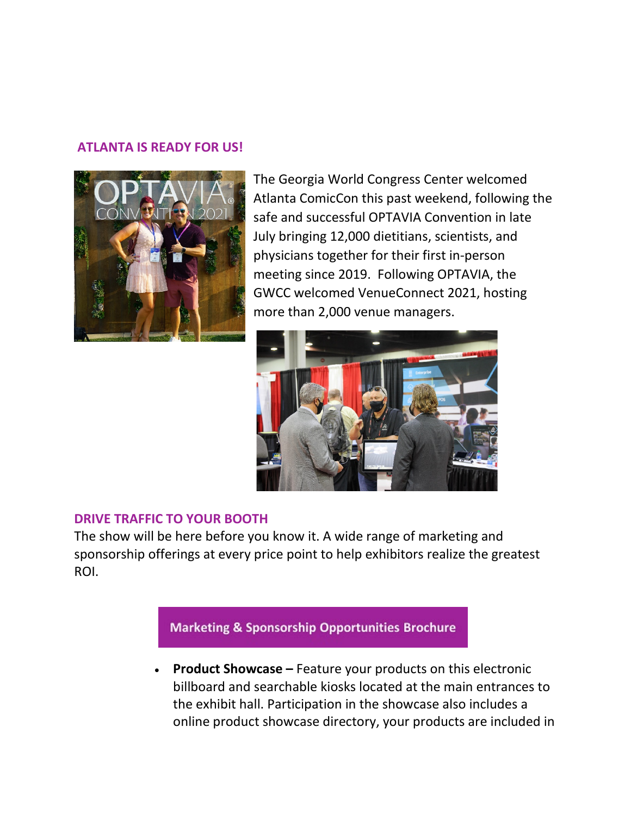#### **ATLANTA IS READY FOR US!**



The Georgia World Congress Center welcomed Atlanta ComicCon this past weekend, following the safe and successful OPTAVIA Convention in late July bringing 12,000 dietitians, scientists, and physicians together for their first in-person meeting since 2019. Following OPTAVIA, the GWCC welcomed VenueConnect 2021, hosting more than 2,000 venue managers.



#### **DRIVE TRAFFIC TO YOUR BOOTH**

The show will be here before you know it. A wide range of marketing and sponsorship offerings at every price point to help exhibitors realize the greatest ROI.



• **Product Showcase –** Feature your products on this electronic billboard and searchable kiosks located at the main entrances to the exhibit hall. Participation in the showcase also includes a online product showcase directory, your products are included in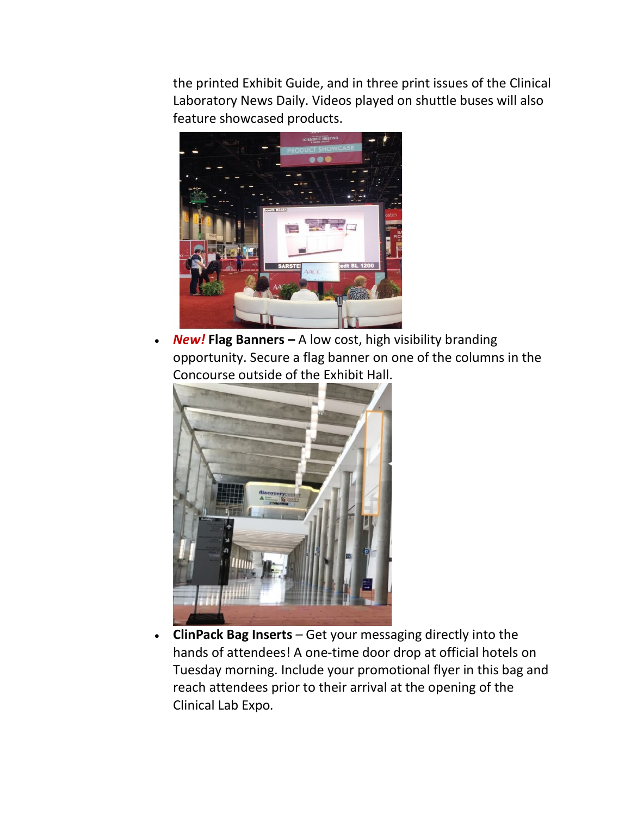the printed Exhibit Guide, and in three print issues of the Clinical Laboratory News Daily. Videos played on shuttle buses will also feature showcased products.



• *New!* **Flag Banners –** A low cost, high visibility branding opportunity. Secure a flag banner on one of the columns in the Concourse outside of the Exhibit Hall.



• **ClinPack Bag Inserts** *–* Get your messaging directly into the hands of attendees! A one-time door drop at official hotels on Tuesday morning. Include your promotional flyer in this bag and reach attendees prior to their arrival at the opening of the Clinical Lab Expo*.*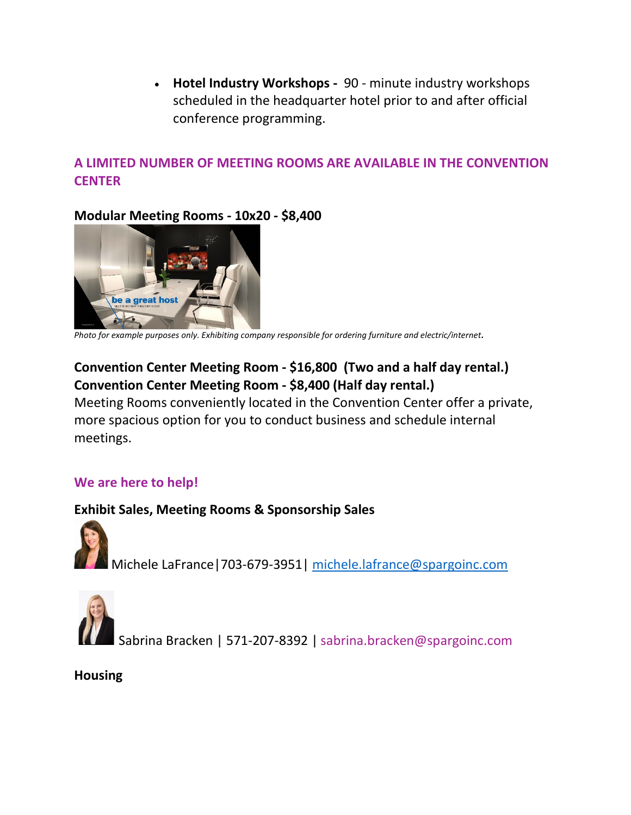• **Hotel Industry Workshops -** 90 - minute industry workshops scheduled in the headquarter hotel prior to and after official conference programming.

## **A LIMITED NUMBER OF MEETING ROOMS ARE AVAILABLE IN THE CONVENTION CENTER**

## **Modular Meeting Rooms - 10x20 - \$8,400**



*Photo for example purposes only. Exhibiting company responsible for ordering furniture and electric/internet***.** 

# **Convention Center Meeting Room - \$16,800 (Two and a half day rental.) Convention Center Meeting Room - \$8,400 (Half day rental.)**

Meeting Rooms conveniently located in the Convention Center offer a private, more spacious option for you to conduct business and schedule internal meetings.

## **We are here to help!**

### **Exhibit Sales, Meeting Rooms & Sponsorship Sales**

Michele LaFrance|703-679-3951| [michele.lafrance@spargoinc.com](mailto:michele.lafrance@spargoinc.com) 



Sabrina Bracken | 571-207-8392 | sabrina.bracken@spargoinc.com

**Housing**